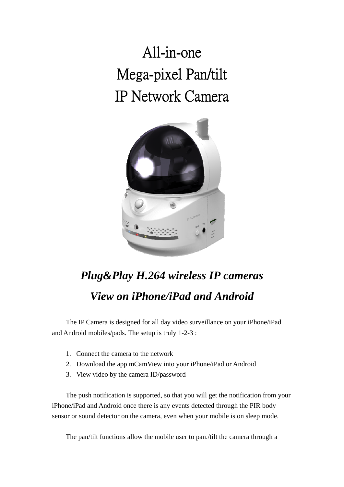## All-in-one Mega-pixel Pan/tilt IP Network Camera



## *Plug&Play H.264 wireless IP cameras View on iPhone/iPad and Android*

 The IP Camera is designed for all day video surveillance on your iPhone/iPad and Android mobiles/pads. The setup is truly 1-2-3 :

- 1. Connect the camera to the network
- 2. Download the app mCamView into your iPhone/iPad or Android
- 3. View video by the camera ID/password

The push notification is supported, so that you will get the notification from your iPhone/iPad and Android once there is any events detected through the PIR body sensor or sound detector on the camera, even when your mobile is on sleep mode.

The pan/tilt functions allow the mobile user to pan./tilt the camera through a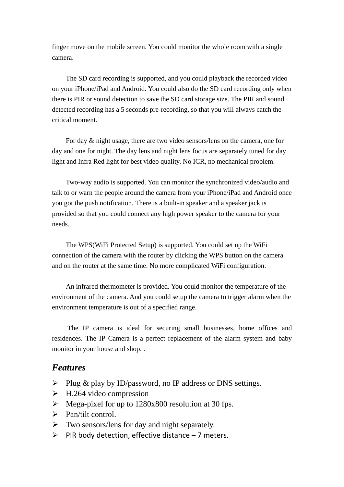finger move on the mobile screen. You could monitor the whole room with a single camera.

The SD card recording is supported, and you could playback the recorded video on your iPhone/iPad and Android. You could also do the SD card recording only when there is PIR or sound detection to save the SD card storage size. The PIR and sound detected recording has a 5 seconds pre-recording, so that you will always catch the critical moment.

For day & night usage, there are two video sensors/lens on the camera, one for day and one for night. The day lens and night lens focus are separately tuned for day light and Infra Red light for best video quality. No ICR, no mechanical problem.

Two-way audio is supported. You can monitor the synchronized video/audio and talk to or warn the people around the camera from your iPhone/iPad and Android once you got the push notification. There is a built-in speaker and a speaker jack is provided so that you could connect any high power speaker to the camera for your needs.

The WPS(WiFi Protected Setup) is supported. You could set up the WiFi connection of the camera with the router by clicking the WPS button on the camera and on the router at the same time. No more complicated WiFi configuration.

An infrared thermometer is provided. You could monitor the temperature of the environment of the camera. And you could setup the camera to trigger alarm when the environment temperature is out of a specified range.

The IP camera is ideal for securing small businesses, home offices and residences. The IP Camera is a perfect replacement of the alarm system and baby monitor in your house and shop. .

## *Features*

- $\triangleright$  Plug & play by ID/password, no IP address or DNS settings.
- $\triangleright$  H.264 video compression
- Mega-pixel for up to 1280x800 resolution at 30 fps.
- $\triangleright$  Pan/tilt control.
- $\triangleright$  Two sensors/lens for day and night separately.
- $\triangleright$  PIR body detection, effective distance 7 meters.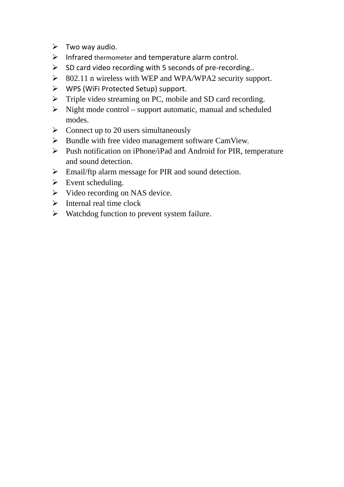- $\triangleright$  Two way audio.
- $\triangleright$  Infrared thermometer and temperature alarm control.
- $\triangleright$  SD card video recording with 5 seconds of pre-recording..
- $\geq$  802.11 n wireless with WEP and WPA/WPA2 security support.
- WPS (WiFi Protected Setup) support.
- $\triangleright$  Triple video streaming on PC, mobile and SD card recording.
- $\triangleright$  Night mode control support automatic, manual and scheduled modes.
- $\triangleright$  Connect up to 20 users simultaneously
- $\triangleright$  Bundle with free video management software CamView.
- $\triangleright$  Push notification on iPhone/iPad and Android for PIR, temperature and sound detection.
- Email/ftp alarm message for PIR and sound detection.
- $\triangleright$  Event scheduling.
- $\triangleright$  Video recording on NAS device.
- $\triangleright$  Internal real time clock
- $\triangleright$  Watchdog function to prevent system failure.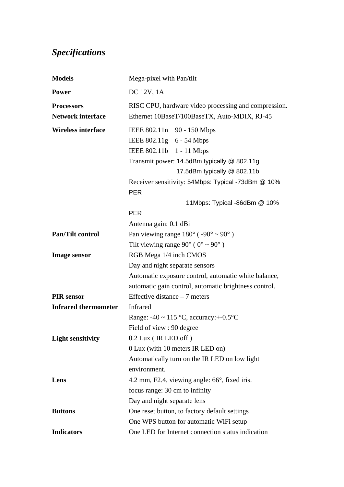## *Specifications*

| <b>Models</b>               | Mega-pixel with Pan/tilt                                          |
|-----------------------------|-------------------------------------------------------------------|
| <b>Power</b>                | DC 12V, 1A                                                        |
| <b>Processors</b>           | RISC CPU, hardware video processing and compression.              |
| <b>Network interface</b>    | Ethernet 10BaseT/100BaseTX, Auto-MDIX, RJ-45                      |
| <b>Wireless interface</b>   | IEEE 802.11n 90 - 150 Mbps                                        |
|                             | IEEE 802.11g 6 - 54 Mbps                                          |
|                             | IEEE 802.11b 1 - 11 Mbps                                          |
|                             | Transmit power: 14.5dBm typically @ 802.11g                       |
|                             | 17.5dBm typically @ 802.11b                                       |
|                             | Receiver sensitivity: 54Mbps: Typical -73dBm @ 10%<br><b>PER</b>  |
|                             | 11Mbps: Typical -86dBm @ 10%                                      |
|                             | <b>PER</b>                                                        |
|                             | Antenna gain: 0.1 dBi                                             |
| <b>Pan/Tilt control</b>     | Pan viewing range $180^{\circ}$ ( $-90^{\circ} \sim 90^{\circ}$ ) |
|                             | Tilt viewing range $90^{\circ}$ ( $0^{\circ} \sim 90^{\circ}$ )   |
| <b>Image sensor</b>         | RGB Mega 1/4 inch CMOS                                            |
|                             | Day and night separate sensors                                    |
|                             | Automatic exposure control, automatic white balance,              |
|                             | automatic gain control, automatic brightness control.             |
| <b>PIR</b> sensor           | Effective distance $-7$ meters                                    |
| <b>Infrared thermometer</b> | <b>Infrared</b>                                                   |
|                             | Range: $-40 \sim 115$ °C, accuracy: $+$ -0.5°C                    |
|                             | Field of view : 90 degree                                         |
| <b>Light sensitivity</b>    | 0.2 Lux (IR LED off)                                              |
|                             | 0 Lux (with 10 meters IR LED on)                                  |
|                             | Automatically turn on the IR LED on low light                     |
|                             | environment.                                                      |
| Lens                        | 4.2 mm, F2.4, viewing angle: $66^\circ$ , fixed iris.             |
|                             | focus range: 30 cm to infinity                                    |
|                             | Day and night separate lens                                       |
| <b>Buttons</b>              | One reset button, to factory default settings                     |
|                             | One WPS button for automatic WiFi setup                           |
| <b>Indicators</b>           | One LED for Internet connection status indication                 |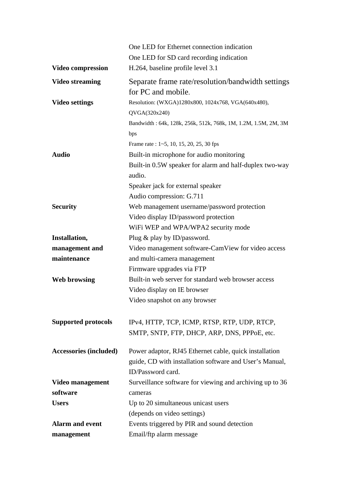|                               | One LED for Ethernet connection indication                     |
|-------------------------------|----------------------------------------------------------------|
|                               | One LED for SD card recording indication                       |
| <b>Video compression</b>      | H.264, baseline profile level 3.1                              |
| <b>Video streaming</b>        | Separate frame rate/resolution/bandwidth settings              |
|                               | for PC and mobile.                                             |
| <b>Video settings</b>         | Resolution: (WXGA)1280x800, 1024x768, VGA(640x480),            |
|                               | QVGA(320x240)                                                  |
|                               | Bandwidth: 64k, 128k, 256k, 512k, 768k, 1M, 1.2M, 1.5M, 2M, 3M |
|                               | bps                                                            |
|                               | Frame rate : 1~5, 10, 15, 20, 25, 30 fps                       |
| <b>Audio</b>                  | Built-in microphone for audio monitoring                       |
|                               | Built-in 0.5W speaker for alarm and half-duplex two-way        |
|                               | audio.                                                         |
|                               | Speaker jack for external speaker                              |
|                               | Audio compression: G.711                                       |
| <b>Security</b>               | Web management username/password protection                    |
|                               | Video display ID/password protection                           |
|                               | WiFi WEP and WPA/WPA2 security mode                            |
| Installation,                 | Plug & play by ID/password.                                    |
| management and                | Video management software-CamView for video access             |
| maintenance                   | and multi-camera management                                    |
|                               | Firmware upgrades via FTP                                      |
| <b>Web browsing</b>           | Built-in web server for standard web browser access            |
|                               | Video display on IE browser                                    |
|                               | Video snapshot on any browser                                  |
| <b>Supported protocols</b>    | IPv4, HTTP, TCP, ICMP, RTSP, RTP, UDP, RTCP,                   |
|                               | SMTP, SNTP, FTP, DHCP, ARP, DNS, PPPoE, etc.                   |
|                               |                                                                |
| <b>Accessories (included)</b> | Power adaptor, RJ45 Ethernet cable, quick installation         |
|                               | guide, CD with installation software and User's Manual,        |
|                               | ID/Password card.                                              |
| Video management              | Surveillance software for viewing and archiving up to 36       |
| software                      | cameras                                                        |
| <b>Users</b>                  | Up to 20 simultaneous unicast users                            |
|                               | (depends on video settings)                                    |
| <b>Alarm and event</b>        | Events triggered by PIR and sound detection                    |
| management                    | Email/ftp alarm message                                        |